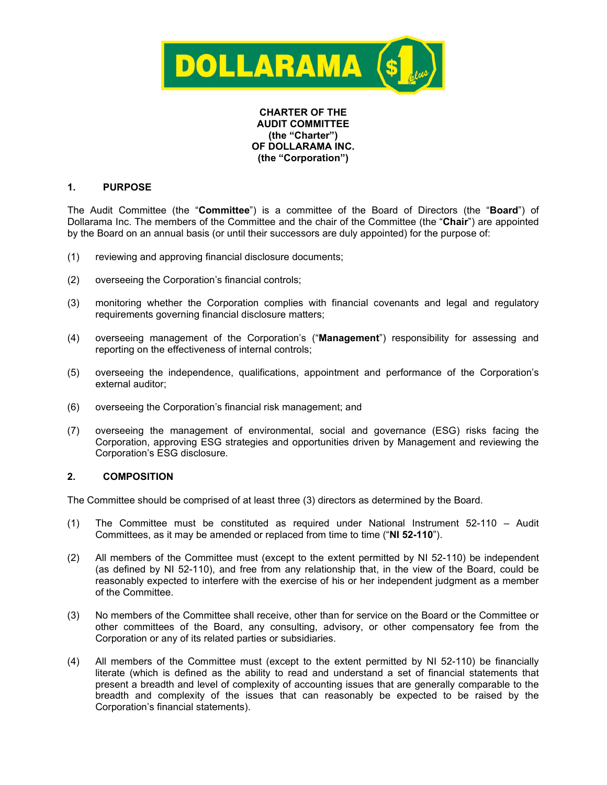

### **CHARTER OF THE AUDIT COMMITTEE (the "Charter") OF DOLLARAMA INC. (the "Corporation")**

# **1. PURPOSE**

The Audit Committee (the "**Committee**") is a committee of the Board of Directors (the "**Board**") of Dollarama Inc. The members of the Committee and the chair of the Committee (the "**Chair**") are appointed by the Board on an annual basis (or until their successors are duly appointed) for the purpose of:

- (1) reviewing and approving financial disclosure documents;
- (2) overseeing the Corporation's financial controls;
- (3) monitoring whether the Corporation complies with financial covenants and legal and regulatory requirements governing financial disclosure matters;
- (4) overseeing management of the Corporation's ("**Management**") responsibility for assessing and reporting on the effectiveness of internal controls;
- (5) overseeing the independence, qualifications, appointment and performance of the Corporation's external auditor;
- (6) overseeing the Corporation's financial risk management; and
- (7) overseeing the management of environmental, social and governance (ESG) risks facing the Corporation, approving ESG strategies and opportunities driven by Management and reviewing the Corporation's ESG disclosure.

# **2. COMPOSITION**

The Committee should be comprised of at least three (3) directors as determined by the Board.

- (1) The Committee must be constituted as required under National Instrument 52-110 Audit Committees, as it may be amended or replaced from time to time ("**NI 52-110**").
- (2) All members of the Committee must (except to the extent permitted by NI 52-110) be independent (as defined by NI 52-110), and free from any relationship that, in the view of the Board, could be reasonably expected to interfere with the exercise of his or her independent judgment as a member of the Committee.
- (3) No members of the Committee shall receive, other than for service on the Board or the Committee or other committees of the Board, any consulting, advisory, or other compensatory fee from the Corporation or any of its related parties or subsidiaries.
- (4) All members of the Committee must (except to the extent permitted by NI 52-110) be financially literate (which is defined as the ability to read and understand a set of financial statements that present a breadth and level of complexity of accounting issues that are generally comparable to the breadth and complexity of the issues that can reasonably be expected to be raised by the Corporation's financial statements).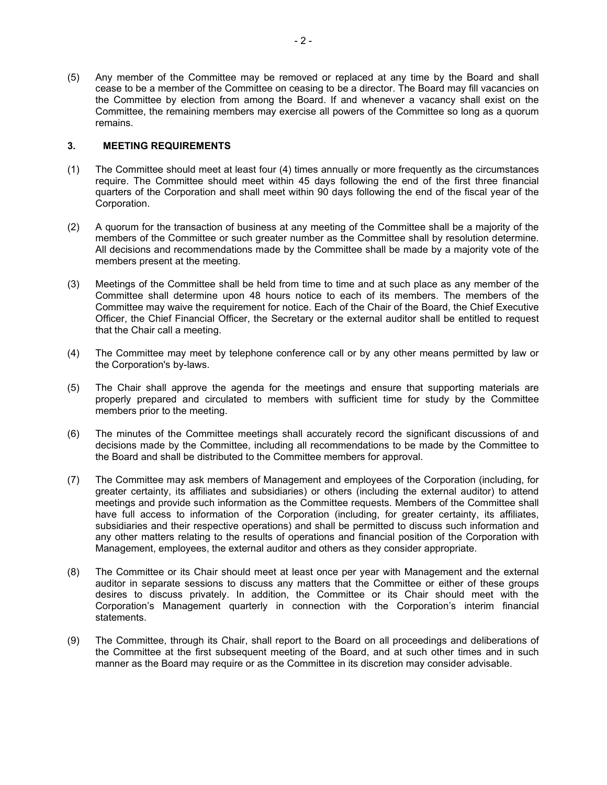(5) Any member of the Committee may be removed or replaced at any time by the Board and shall cease to be a member of the Committee on ceasing to be a director. The Board may fill vacancies on the Committee by election from among the Board. If and whenever a vacancy shall exist on the Committee, the remaining members may exercise all powers of the Committee so long as a quorum remains.

### **3. MEETING REQUIREMENTS**

- (1) The Committee should meet at least four (4) times annually or more frequently as the circumstances require. The Committee should meet within 45 days following the end of the first three financial quarters of the Corporation and shall meet within 90 days following the end of the fiscal year of the Corporation.
- (2) A quorum for the transaction of business at any meeting of the Committee shall be a majority of the members of the Committee or such greater number as the Committee shall by resolution determine. All decisions and recommendations made by the Committee shall be made by a majority vote of the members present at the meeting.
- (3) Meetings of the Committee shall be held from time to time and at such place as any member of the Committee shall determine upon 48 hours notice to each of its members. The members of the Committee may waive the requirement for notice. Each of the Chair of the Board, the Chief Executive Officer, the Chief Financial Officer, the Secretary or the external auditor shall be entitled to request that the Chair call a meeting.
- (4) The Committee may meet by telephone conference call or by any other means permitted by law or the Corporation's by-laws.
- (5) The Chair shall approve the agenda for the meetings and ensure that supporting materials are properly prepared and circulated to members with sufficient time for study by the Committee members prior to the meeting.
- (6) The minutes of the Committee meetings shall accurately record the significant discussions of and decisions made by the Committee, including all recommendations to be made by the Committee to the Board and shall be distributed to the Committee members for approval.
- (7) The Committee may ask members of Management and employees of the Corporation (including, for greater certainty, its affiliates and subsidiaries) or others (including the external auditor) to attend meetings and provide such information as the Committee requests. Members of the Committee shall have full access to information of the Corporation (including, for greater certainty, its affiliates, subsidiaries and their respective operations) and shall be permitted to discuss such information and any other matters relating to the results of operations and financial position of the Corporation with Management, employees, the external auditor and others as they consider appropriate.
- (8) The Committee or its Chair should meet at least once per year with Management and the external auditor in separate sessions to discuss any matters that the Committee or either of these groups desires to discuss privately. In addition, the Committee or its Chair should meet with the Corporation's Management quarterly in connection with the Corporation's interim financial statements.
- (9) The Committee, through its Chair, shall report to the Board on all proceedings and deliberations of the Committee at the first subsequent meeting of the Board, and at such other times and in such manner as the Board may require or as the Committee in its discretion may consider advisable.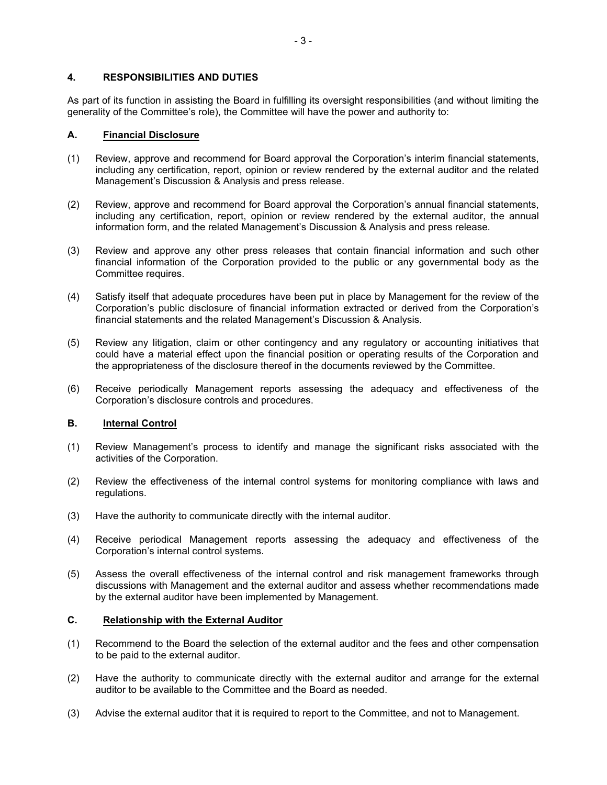### **4. RESPONSIBILITIES AND DUTIES**

As part of its function in assisting the Board in fulfilling its oversight responsibilities (and without limiting the generality of the Committee's role), the Committee will have the power and authority to:

#### **A. Financial Disclosure**

- (1) Review, approve and recommend for Board approval the Corporation's interim financial statements, including any certification, report, opinion or review rendered by the external auditor and the related Management's Discussion & Analysis and press release.
- (2) Review, approve and recommend for Board approval the Corporation's annual financial statements, including any certification, report, opinion or review rendered by the external auditor, the annual information form, and the related Management's Discussion & Analysis and press release.
- (3) Review and approve any other press releases that contain financial information and such other financial information of the Corporation provided to the public or any governmental body as the Committee requires.
- (4) Satisfy itself that adequate procedures have been put in place by Management for the review of the Corporation's public disclosure of financial information extracted or derived from the Corporation's financial statements and the related Management's Discussion & Analysis.
- (5) Review any litigation, claim or other contingency and any regulatory or accounting initiatives that could have a material effect upon the financial position or operating results of the Corporation and the appropriateness of the disclosure thereof in the documents reviewed by the Committee.
- (6) Receive periodically Management reports assessing the adequacy and effectiveness of the Corporation's disclosure controls and procedures.

### **B. Internal Control**

- (1) Review Management's process to identify and manage the significant risks associated with the activities of the Corporation.
- (2) Review the effectiveness of the internal control systems for monitoring compliance with laws and regulations.
- (3) Have the authority to communicate directly with the internal auditor.
- (4) Receive periodical Management reports assessing the adequacy and effectiveness of the Corporation's internal control systems.
- (5) Assess the overall effectiveness of the internal control and risk management frameworks through discussions with Management and the external auditor and assess whether recommendations made by the external auditor have been implemented by Management.

#### **C. Relationship with the External Auditor**

- (1) Recommend to the Board the selection of the external auditor and the fees and other compensation to be paid to the external auditor.
- (2) Have the authority to communicate directly with the external auditor and arrange for the external auditor to be available to the Committee and the Board as needed.
- (3) Advise the external auditor that it is required to report to the Committee, and not to Management.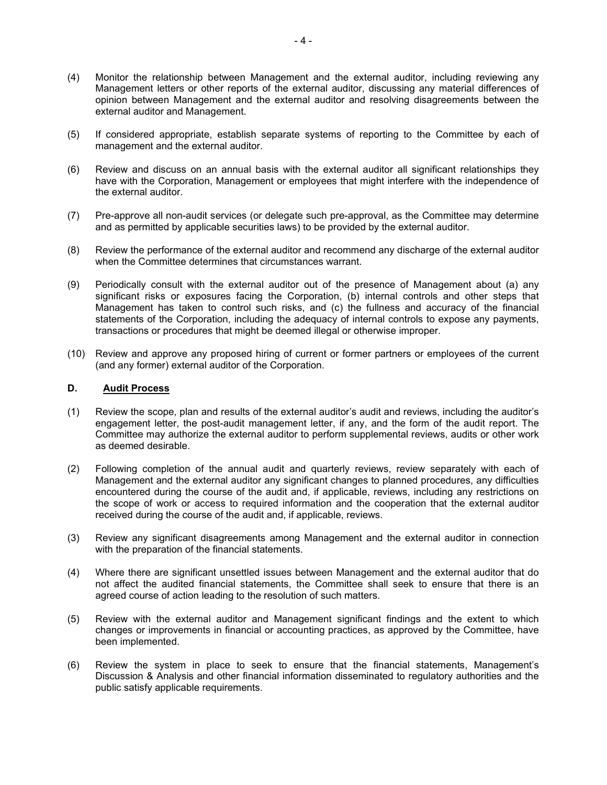- (4) Monitor the relationship between Management and the external auditor, including reviewing any Management letters or other reports of the external auditor, discussing any material differences of opinion between Management and the external auditor and resolving disagreements between the external auditor and Management.
- (5) If considered appropriate, establish separate systems of reporting to the Committee by each of management and the external auditor.
- (6) Review and discuss on an annual basis with the external auditor all significant relationships they have with the Corporation, Management or employees that might interfere with the independence of the external auditor.
- (7) Pre-approve all non-audit services (or delegate such pre-approval, as the Committee may determine and as permitted by applicable securities laws) to be provided by the external auditor.
- (8) Review the performance of the external auditor and recommend any discharge of the external auditor when the Committee determines that circumstances warrant.
- (9) Periodically consult with the external auditor out of the presence of Management about (a) any significant risks or exposures facing the Corporation, (b) internal controls and other steps that Management has taken to control such risks, and (c) the fullness and accuracy of the financial statements of the Corporation, including the adequacy of internal controls to expose any payments, transactions or procedures that might be deemed illegal or otherwise improper.
- (10) Review and approve any proposed hiring of current or former partners or employees of the current (and any former) external auditor of the Corporation.

### **D. Audit Process**

- (1) Review the scope, plan and results of the external auditor's audit and reviews, including the auditor's engagement letter, the post-audit management letter, if any, and the form of the audit report. The Committee may authorize the external auditor to perform supplemental reviews, audits or other work as deemed desirable.
- (2) Following completion of the annual audit and quarterly reviews, review separately with each of Management and the external auditor any significant changes to planned procedures, any difficulties encountered during the course of the audit and, if applicable, reviews, including any restrictions on the scope of work or access to required information and the cooperation that the external auditor received during the course of the audit and, if applicable, reviews.
- (3) Review any significant disagreements among Management and the external auditor in connection with the preparation of the financial statements.
- (4) Where there are significant unsettled issues between Management and the external auditor that do not affect the audited financial statements, the Committee shall seek to ensure that there is an agreed course of action leading to the resolution of such matters.
- (5) Review with the external auditor and Management significant findings and the extent to which changes or improvements in financial or accounting practices, as approved by the Committee, have been implemented.
- (6) Review the system in place to seek to ensure that the financial statements, Management's Discussion & Analysis and other financial information disseminated to regulatory authorities and the public satisfy applicable requirements.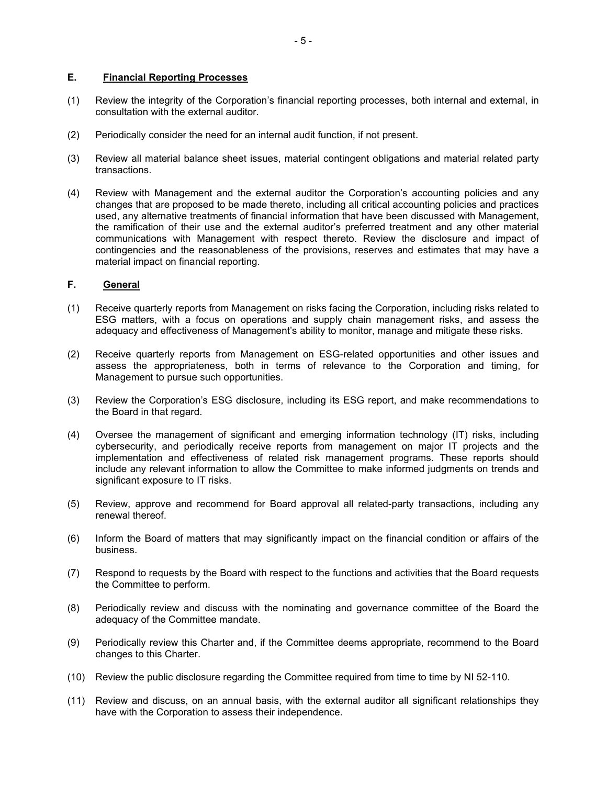## **E. Financial Reporting Processes**

- (1) Review the integrity of the Corporation's financial reporting processes, both internal and external, in consultation with the external auditor.
- (2) Periodically consider the need for an internal audit function, if not present.
- (3) Review all material balance sheet issues, material contingent obligations and material related party transactions.
- (4) Review with Management and the external auditor the Corporation's accounting policies and any changes that are proposed to be made thereto, including all critical accounting policies and practices used, any alternative treatments of financial information that have been discussed with Management, the ramification of their use and the external auditor's preferred treatment and any other material communications with Management with respect thereto. Review the disclosure and impact of contingencies and the reasonableness of the provisions, reserves and estimates that may have a material impact on financial reporting.

### **F. General**

- (1) Receive quarterly reports from Management on risks facing the Corporation, including risks related to ESG matters, with a focus on operations and supply chain management risks, and assess the adequacy and effectiveness of Management's ability to monitor, manage and mitigate these risks.
- (2) Receive quarterly reports from Management on ESG-related opportunities and other issues and assess the appropriateness, both in terms of relevance to the Corporation and timing, for Management to pursue such opportunities.
- (3) Review the Corporation's ESG disclosure, including its ESG report, and make recommendations to the Board in that regard.
- (4) Oversee the management of significant and emerging information technology (IT) risks, including cybersecurity, and periodically receive reports from management on major IT projects and the implementation and effectiveness of related risk management programs. These reports should include any relevant information to allow the Committee to make informed judgments on trends and significant exposure to IT risks.
- (5) Review, approve and recommend for Board approval all related-party transactions, including any renewal thereof.
- (6) Inform the Board of matters that may significantly impact on the financial condition or affairs of the business.
- (7) Respond to requests by the Board with respect to the functions and activities that the Board requests the Committee to perform.
- (8) Periodically review and discuss with the nominating and governance committee of the Board the adequacy of the Committee mandate.
- (9) Periodically review this Charter and, if the Committee deems appropriate, recommend to the Board changes to this Charter.
- (10) Review the public disclosure regarding the Committee required from time to time by NI 52-110.
- (11) Review and discuss, on an annual basis, with the external auditor all significant relationships they have with the Corporation to assess their independence.